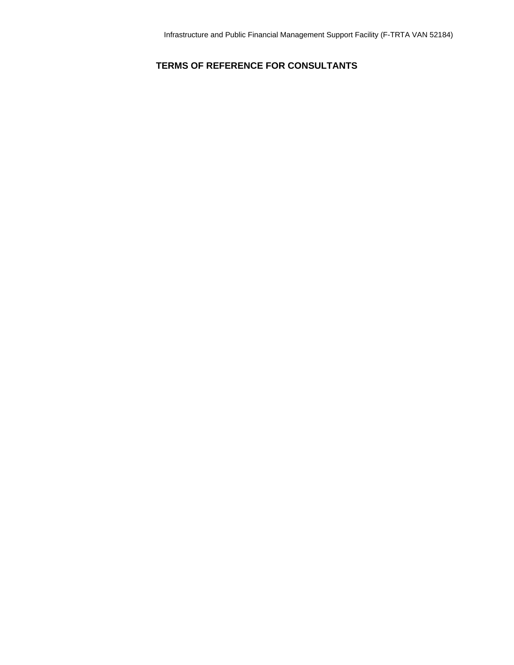# **TERMS OF REFERENCE FOR CONSULTANTS**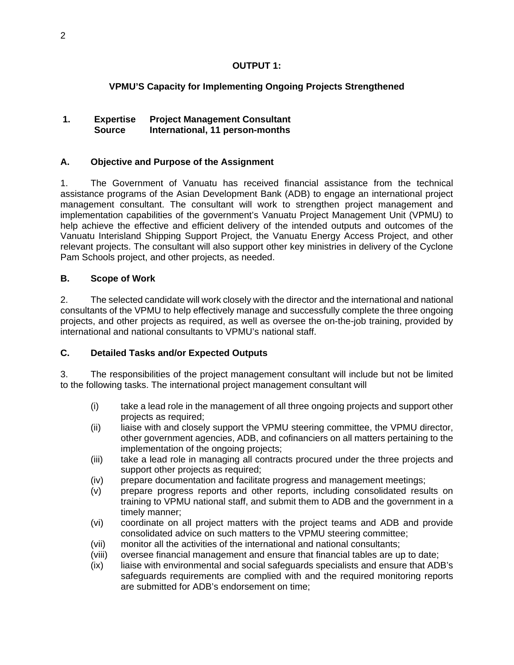# **OUTPUT 1:**

# **VPMU'S Capacity for Implementing Ongoing Projects Strengthened**

# **1. Expertise Project Management Consultant Source International, 11 person-months**

# **A. Objective and Purpose of the Assignment**

1. The Government of Vanuatu has received financial assistance from the technical assistance programs of the Asian Development Bank (ADB) to engage an international project management consultant. The consultant will work to strengthen project management and implementation capabilities of the government's Vanuatu Project Management Unit (VPMU) to help achieve the effective and efficient delivery of the intended outputs and outcomes of the Vanuatu Interisland Shipping Support Project, the Vanuatu Energy Access Project, and other relevant projects. The consultant will also support other key ministries in delivery of the Cyclone Pam Schools project, and other projects, as needed.

# **B. Scope of Work**

2. The selected candidate will work closely with the director and the international and national consultants of the VPMU to help effectively manage and successfully complete the three ongoing projects, and other projects as required, as well as oversee the on-the-job training, provided by international and national consultants to VPMU's national staff.

# **C. Detailed Tasks and/or Expected Outputs**

3. The responsibilities of the project management consultant will include but not be limited to the following tasks. The international project management consultant will

- (i) take a lead role in the management of all three ongoing projects and support other projects as required;
- (ii) liaise with and closely support the VPMU steering committee, the VPMU director, other government agencies, ADB, and cofinanciers on all matters pertaining to the implementation of the ongoing projects;
- (iii) take a lead role in managing all contracts procured under the three projects and support other projects as required;
- (iv) prepare documentation and facilitate progress and management meetings;
- (v) prepare progress reports and other reports, including consolidated results on training to VPMU national staff, and submit them to ADB and the government in a timely manner;
- (vi) coordinate on all project matters with the project teams and ADB and provide consolidated advice on such matters to the VPMU steering committee;
- (vii) monitor all the activities of the international and national consultants;
- (viii) oversee financial management and ensure that financial tables are up to date;
- (ix) liaise with environmental and social safeguards specialists and ensure that ADB's safeguards requirements are complied with and the required monitoring reports are submitted for ADB's endorsement on time;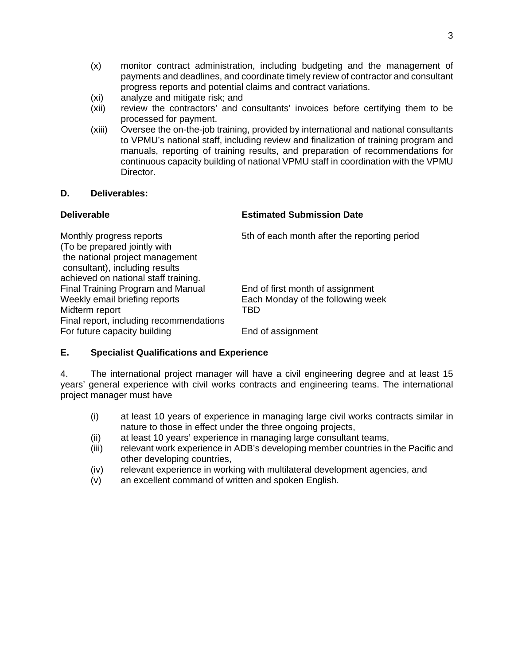- (x) monitor contract administration, including budgeting and the management of payments and deadlines, and coordinate timely review of contractor and consultant progress reports and potential claims and contract variations.
- (xi) analyze and mitigate risk; and
- (xii) review the contractors' and consultants' invoices before certifying them to be processed for payment.
- (xiii) Oversee the on-the-job training, provided by international and national consultants to VPMU's national staff, including review and finalization of training program and manuals, reporting of training results, and preparation of recommendations for continuous capacity building of national VPMU staff in coordination with the VPMU Director.

### **Deliverable Estimated Submission Date**

Monthly progress reports 5th of each month after the reporting period (To be prepared jointly with the national project management consultant), including results achieved on national staff training. Final Training Program and Manual End of first month of assignment Weekly email briefing reports Each Monday of the following week Midterm report TBD Final report, including recommendations For future capacity building End of assignment

# **E. Specialist Qualifications and Experience**

4. The international project manager will have a civil engineering degree and at least 15 years' general experience with civil works contracts and engineering teams. The international project manager must have

- (i) at least 10 years of experience in managing large civil works contracts similar in nature to those in effect under the three ongoing projects,
- (ii) at least 10 years' experience in managing large consultant teams,
- (iii) relevant work experience in ADB's developing member countries in the Pacific and other developing countries,
- (iv) relevant experience in working with multilateral development agencies, and
- (v) an excellent command of written and spoken English.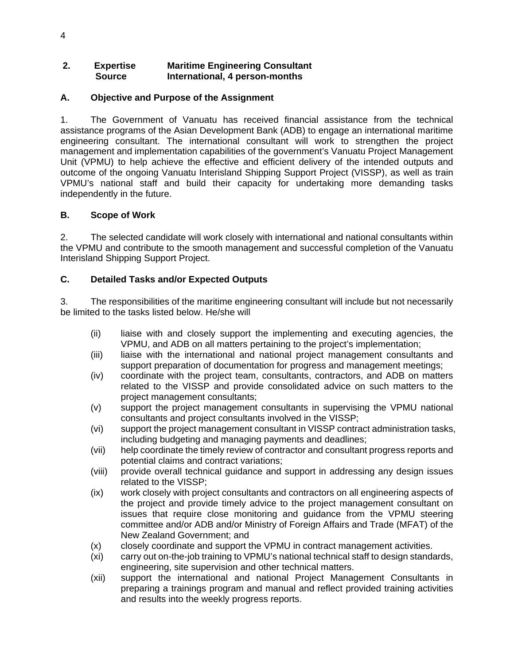### **2. Expertise Maritime Engineering Consultant Source International, 4 person-months**

# **A. Objective and Purpose of the Assignment**

1. The Government of Vanuatu has received financial assistance from the technical assistance programs of the Asian Development Bank (ADB) to engage an international maritime engineering consultant. The international consultant will work to strengthen the project management and implementation capabilities of the government's Vanuatu Project Management Unit (VPMU) to help achieve the effective and efficient delivery of the intended outputs and outcome of the ongoing Vanuatu Interisland Shipping Support Project (VISSP), as well as train VPMU's national staff and build their capacity for undertaking more demanding tasks independently in the future.

### **B. Scope of Work**

2. The selected candidate will work closely with international and national consultants within the VPMU and contribute to the smooth management and successful completion of the Vanuatu Interisland Shipping Support Project.

# **C. Detailed Tasks and/or Expected Outputs**

3. The responsibilities of the maritime engineering consultant will include but not necessarily be limited to the tasks listed below. He/she will

- (ii) liaise with and closely support the implementing and executing agencies, the VPMU, and ADB on all matters pertaining to the project's implementation;
- (iii) liaise with the international and national project management consultants and support preparation of documentation for progress and management meetings;
- (iv) coordinate with the project team, consultants, contractors, and ADB on matters related to the VISSP and provide consolidated advice on such matters to the project management consultants;
- (v) support the project management consultants in supervising the VPMU national consultants and project consultants involved in the VISSP;
- (vi) support the project management consultant in VISSP contract administration tasks, including budgeting and managing payments and deadlines;
- (vii) help coordinate the timely review of contractor and consultant progress reports and potential claims and contract variations;
- (viii) provide overall technical guidance and support in addressing any design issues related to the VISSP;
- (ix) work closely with project consultants and contractors on all engineering aspects of the project and provide timely advice to the project management consultant on issues that require close monitoring and guidance from the VPMU steering committee and/or ADB and/or Ministry of Foreign Affairs and Trade (MFAT) of the New Zealand Government; and
- (x) closely coordinate and support the VPMU in contract management activities.
- (xi) carry out on-the-job training to VPMU's national technical staff to design standards, engineering, site supervision and other technical matters.
- (xii) support the international and national Project Management Consultants in preparing a trainings program and manual and reflect provided training activities and results into the weekly progress reports.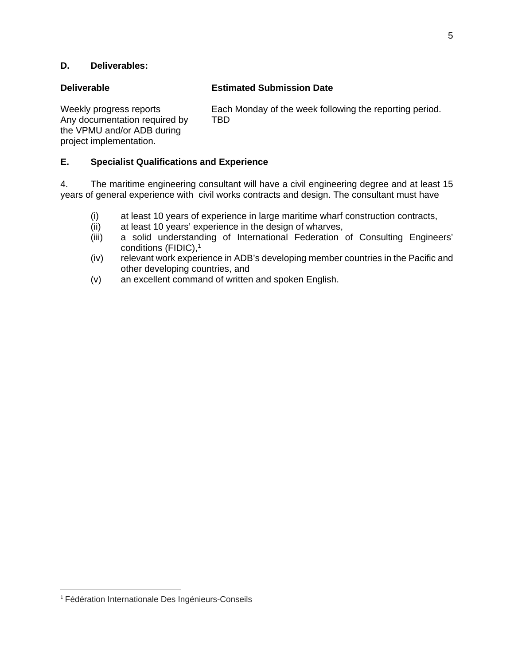# **Deliverable Estimated Submission Date**

Any documentation required by TBD the VPMU and/or ADB during project implementation.

Weekly progress reports Each Monday of the week following the reporting period.

# **E. Specialist Qualifications and Experience**

4. The maritime engineering consultant will have a civil engineering degree and at least 15 years of general experience with civil works contracts and design. The consultant must have

- (i) at least 10 years of experience in large maritime wharf construction contracts,
- (ii) at least 10 years' experience in the design of wharves,
- (iii) a solid understanding of International Federation of Consulting Engineers' conditions (FIDIC),<sup>1</sup>
- (iv) relevant work experience in ADB's developing member countries in the Pacific and other developing countries, and
- (v) an excellent command of written and spoken English.

 <sup>1</sup> Fédération Internationale Des Ingénieurs-Conseils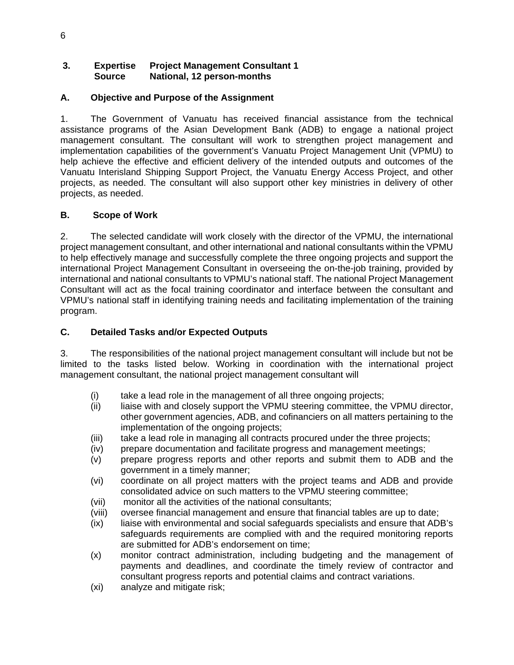# **3. Expertise Project Management Consultant 1 Source National, 12 person-months**

# **A. Objective and Purpose of the Assignment**

1. The Government of Vanuatu has received financial assistance from the technical assistance programs of the Asian Development Bank (ADB) to engage a national project management consultant. The consultant will work to strengthen project management and implementation capabilities of the government's Vanuatu Project Management Unit (VPMU) to help achieve the effective and efficient delivery of the intended outputs and outcomes of the Vanuatu Interisland Shipping Support Project, the Vanuatu Energy Access Project, and other projects, as needed. The consultant will also support other key ministries in delivery of other projects, as needed.

### **B. Scope of Work**

2. The selected candidate will work closely with the director of the VPMU, the international project management consultant, and other international and national consultants within the VPMU to help effectively manage and successfully complete the three ongoing projects and support the international Project Management Consultant in overseeing the on-the-job training, provided by international and national consultants to VPMU's national staff. The national Project Management Consultant will act as the focal training coordinator and interface between the consultant and VPMU's national staff in identifying training needs and facilitating implementation of the training program.

### **C. Detailed Tasks and/or Expected Outputs**

3. The responsibilities of the national project management consultant will include but not be limited to the tasks listed below. Working in coordination with the international project management consultant, the national project management consultant will

- (i) take a lead role in the management of all three ongoing projects;
- (ii) liaise with and closely support the VPMU steering committee, the VPMU director, other government agencies, ADB, and cofinanciers on all matters pertaining to the implementation of the ongoing projects;
- (iii) take a lead role in managing all contracts procured under the three projects;
- (iv) prepare documentation and facilitate progress and management meetings;
- (v) prepare progress reports and other reports and submit them to ADB and the government in a timely manner;
- (vi) coordinate on all project matters with the project teams and ADB and provide consolidated advice on such matters to the VPMU steering committee;
- (vii) monitor all the activities of the national consultants;
- (viii) oversee financial management and ensure that financial tables are up to date;
- (ix) liaise with environmental and social safeguards specialists and ensure that ADB's safeguards requirements are complied with and the required monitoring reports are submitted for ADB's endorsement on time;
- (x) monitor contract administration, including budgeting and the management of payments and deadlines, and coordinate the timely review of contractor and consultant progress reports and potential claims and contract variations.
- (xi) analyze and mitigate risk;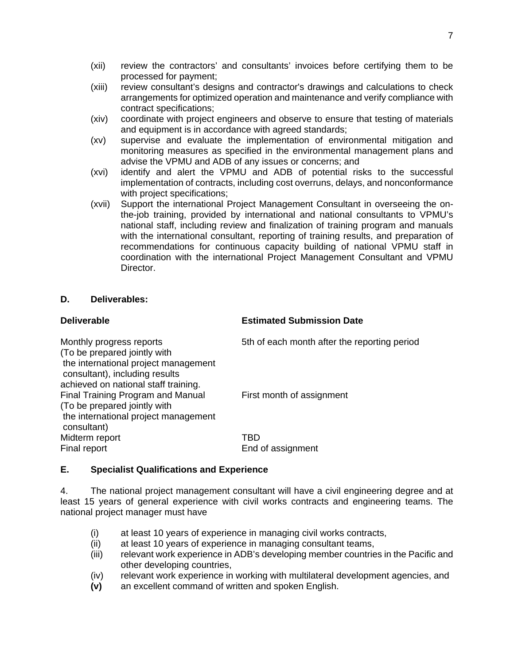- (xii) review the contractors' and consultants' invoices before certifying them to be processed for payment;
- (xiii) review consultant's designs and contractor's drawings and calculations to check arrangements for optimized operation and maintenance and verify compliance with contract specifications;
- (xiv) coordinate with project engineers and observe to ensure that testing of materials and equipment is in accordance with agreed standards;
- (xv) supervise and evaluate the implementation of environmental mitigation and monitoring measures as specified in the environmental management plans and advise the VPMU and ADB of any issues or concerns; and
- (xvi) identify and alert the VPMU and ADB of potential risks to the successful implementation of contracts, including cost overruns, delays, and nonconformance with project specifications;
- (xvii) Support the international Project Management Consultant in overseeing the onthe-job training, provided by international and national consultants to VPMU's national staff, including review and finalization of training program and manuals with the international consultant, reporting of training results, and preparation of recommendations for continuous capacity building of national VPMU staff in coordination with the international Project Management Consultant and VPMU Director.

### **Estimated Submission Date**

| Monthly progress reports<br>(To be prepared jointly with<br>the international project management                                                                                                   | 5th of each month after the reporting period |
|----------------------------------------------------------------------------------------------------------------------------------------------------------------------------------------------------|----------------------------------------------|
| consultant), including results<br>achieved on national staff training.<br>Final Training Program and Manual<br>(To be prepared jointly with<br>the international project management<br>consultant) | First month of assignment                    |
| Midterm report<br>Final report                                                                                                                                                                     | TRD<br>End of assignment                     |

# **E. Specialist Qualifications and Experience**

4. The national project management consultant will have a civil engineering degree and at least 15 years of general experience with civil works contracts and engineering teams. The national project manager must have

- (i) at least 10 years of experience in managing civil works contracts,
- (ii) at least 10 years of experience in managing consultant teams,
- (iii) relevant work experience in ADB's developing member countries in the Pacific and other developing countries,
- (iv) relevant work experience in working with multilateral development agencies, and
- **(v)** an excellent command of written and spoken English.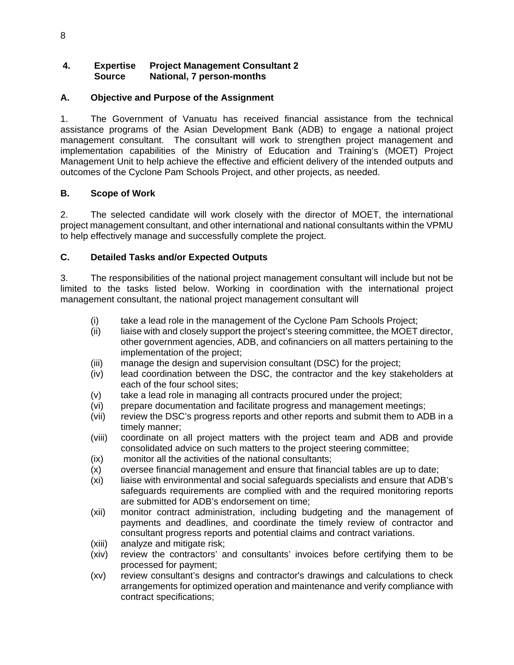# **4. Expertise Project Management Consultant 2 Source National, 7 person-months**

# **A. Objective and Purpose of the Assignment**

1. The Government of Vanuatu has received financial assistance from the technical assistance programs of the Asian Development Bank (ADB) to engage a national project management consultant. The consultant will work to strengthen project management and implementation capabilities of the Ministry of Education and Training's (MOET) Project Management Unit to help achieve the effective and efficient delivery of the intended outputs and outcomes of the Cyclone Pam Schools Project, and other projects, as needed.

# **B. Scope of Work**

2. The selected candidate will work closely with the director of MOET, the international project management consultant, and other international and national consultants within the VPMU to help effectively manage and successfully complete the project.

# **C. Detailed Tasks and/or Expected Outputs**

3. The responsibilities of the national project management consultant will include but not be limited to the tasks listed below. Working in coordination with the international project management consultant, the national project management consultant will

- (i) take a lead role in the management of the Cyclone Pam Schools Project;
- (ii) liaise with and closely support the project's steering committee, the MOET director, other government agencies, ADB, and cofinanciers on all matters pertaining to the implementation of the project;
- (iii) manage the design and supervision consultant (DSC) for the project;
- (iv) lead coordination between the DSC, the contractor and the key stakeholders at each of the four school sites;
- (v) take a lead role in managing all contracts procured under the project;
- (vi) prepare documentation and facilitate progress and management meetings;
- (vii) review the DSC's progress reports and other reports and submit them to ADB in a timely manner;
- (viii) coordinate on all project matters with the project team and ADB and provide consolidated advice on such matters to the project steering committee;
- (ix) monitor all the activities of the national consultants;
- (x) oversee financial management and ensure that financial tables are up to date;
- (xi) liaise with environmental and social safeguards specialists and ensure that ADB's safeguards requirements are complied with and the required monitoring reports are submitted for ADB's endorsement on time;
- (xii) monitor contract administration, including budgeting and the management of payments and deadlines, and coordinate the timely review of contractor and consultant progress reports and potential claims and contract variations.
- (xiii) analyze and mitigate risk;
- (xiv) review the contractors' and consultants' invoices before certifying them to be processed for payment;
- (xv) review consultant's designs and contractor's drawings and calculations to check arrangements for optimized operation and maintenance and verify compliance with contract specifications;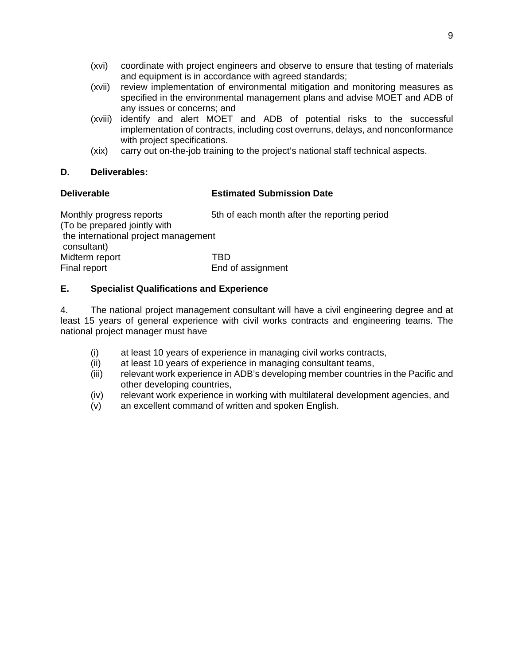- (xvi) coordinate with project engineers and observe to ensure that testing of materials and equipment is in accordance with agreed standards;
- (xvii) review implementation of environmental mitigation and monitoring measures as specified in the environmental management plans and advise MOET and ADB of any issues or concerns; and
- (xviii) identify and alert MOET and ADB of potential risks to the successful implementation of contracts, including cost overruns, delays, and nonconformance with project specifications.
- (xix) carry out on-the-job training to the project's national staff technical aspects.

# **Deliverable Estimated Submission Date**

| Monthly progress reports<br>(To be prepared jointly with | 5th of each month after the reporting period |
|----------------------------------------------------------|----------------------------------------------|
| the international project management<br>consultant)      |                                              |
| Midterm report                                           | TRD                                          |
| Final report                                             | End of assignment                            |

# **E. Specialist Qualifications and Experience**

4. The national project management consultant will have a civil engineering degree and at least 15 years of general experience with civil works contracts and engineering teams. The national project manager must have

- (i) at least 10 years of experience in managing civil works contracts,
- (ii) at least 10 years of experience in managing consultant teams,
- (iii) relevant work experience in ADB's developing member countries in the Pacific and other developing countries,
- (iv) relevant work experience in working with multilateral development agencies, and
- (v) an excellent command of written and spoken English.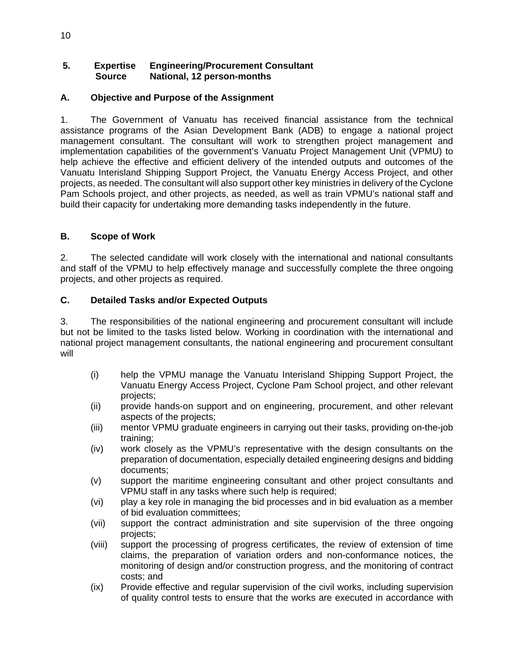# **5. Expertise Engineering/Procurement Consultant Source National, 12 person-months**

# **A. Objective and Purpose of the Assignment**

1. The Government of Vanuatu has received financial assistance from the technical assistance programs of the Asian Development Bank (ADB) to engage a national project management consultant. The consultant will work to strengthen project management and implementation capabilities of the government's Vanuatu Project Management Unit (VPMU) to help achieve the effective and efficient delivery of the intended outputs and outcomes of the Vanuatu Interisland Shipping Support Project, the Vanuatu Energy Access Project, and other projects, as needed. The consultant will also support other key ministries in delivery of the Cyclone Pam Schools project, and other projects, as needed, as well as train VPMU's national staff and build their capacity for undertaking more demanding tasks independently in the future.

# **B. Scope of Work**

2. The selected candidate will work closely with the international and national consultants and staff of the VPMU to help effectively manage and successfully complete the three ongoing projects, and other projects as required.

# **C. Detailed Tasks and/or Expected Outputs**

3. The responsibilities of the national engineering and procurement consultant will include but not be limited to the tasks listed below. Working in coordination with the international and national project management consultants, the national engineering and procurement consultant will

- (i) help the VPMU manage the Vanuatu Interisland Shipping Support Project, the Vanuatu Energy Access Project, Cyclone Pam School project, and other relevant projects;
- (ii) provide hands-on support and on engineering, procurement, and other relevant aspects of the projects;
- (iii) mentor VPMU graduate engineers in carrying out their tasks, providing on-the-job training;
- (iv) work closely as the VPMU's representative with the design consultants on the preparation of documentation, especially detailed engineering designs and bidding documents;
- (v) support the maritime engineering consultant and other project consultants and VPMU staff in any tasks where such help is required;
- (vi) play a key role in managing the bid processes and in bid evaluation as a member of bid evaluation committees;
- (vii) support the contract administration and site supervision of the three ongoing projects;
- (viii) support the processing of progress certificates, the review of extension of time claims, the preparation of variation orders and non-conformance notices, the monitoring of design and/or construction progress, and the monitoring of contract costs; and
- (ix) Provide effective and regular supervision of the civil works, including supervision of quality control tests to ensure that the works are executed in accordance with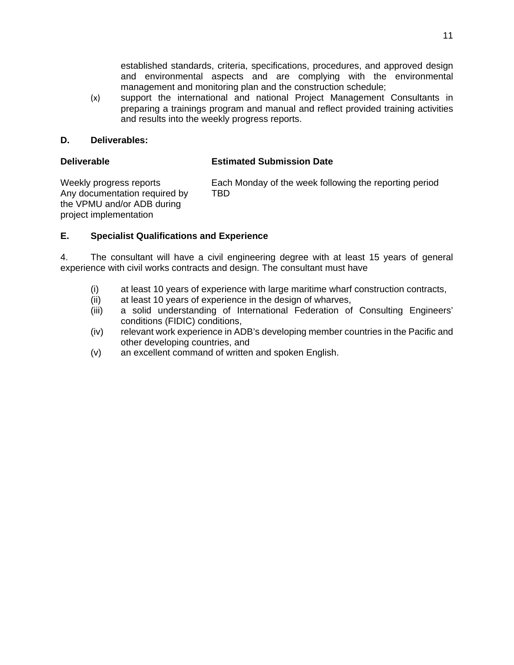established standards, criteria, specifications, procedures, and approved design and environmental aspects and are complying with the environmental management and monitoring plan and the construction schedule;

(x) support the international and national Project Management Consultants in preparing a trainings program and manual and reflect provided training activities and results into the weekly progress reports.

### **D. Deliverables:**

### **Deliverable Estimated Submission Date**

Any documentation required by TBD the VPMU and/or ADB during project implementation

Weekly progress reports Each Monday of the week following the reporting period

# **E. Specialist Qualifications and Experience**

4. The consultant will have a civil engineering degree with at least 15 years of general experience with civil works contracts and design. The consultant must have

- (i) at least 10 years of experience with large maritime wharf construction contracts,
- (ii) at least 10 years of experience in the design of wharves,
- (iii) a solid understanding of International Federation of Consulting Engineers' conditions (FIDIC) conditions,
- (iv) relevant work experience in ADB's developing member countries in the Pacific and other developing countries, and
- (v) an excellent command of written and spoken English.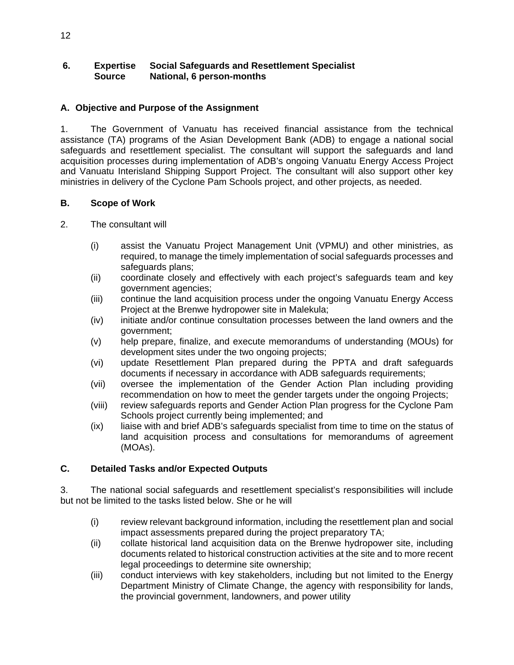# **6. Expertise Social Safeguards and Resettlement Specialist Source National, 6 person-months**

# **A. Objective and Purpose of the Assignment**

1. The Government of Vanuatu has received financial assistance from the technical assistance (TA) programs of the Asian Development Bank (ADB) to engage a national social safeguards and resettlement specialist. The consultant will support the safeguards and land acquisition processes during implementation of ADB's ongoing Vanuatu Energy Access Project and Vanuatu Interisland Shipping Support Project. The consultant will also support other key ministries in delivery of the Cyclone Pam Schools project, and other projects, as needed.

# **B. Scope of Work**

- 2. The consultant will
	- (i) assist the Vanuatu Project Management Unit (VPMU) and other ministries, as required, to manage the timely implementation of social safeguards processes and safeguards plans;
	- (ii) coordinate closely and effectively with each project's safeguards team and key government agencies;
	- (iii) continue the land acquisition process under the ongoing Vanuatu Energy Access Project at the Brenwe hydropower site in Malekula;
	- (iv) initiate and/or continue consultation processes between the land owners and the government;
	- (v) help prepare, finalize, and execute memorandums of understanding (MOUs) for development sites under the two ongoing projects;
	- (vi) update Resettlement Plan prepared during the PPTA and draft safeguards documents if necessary in accordance with ADB safeguards requirements;
	- (vii) oversee the implementation of the Gender Action Plan including providing recommendation on how to meet the gender targets under the ongoing Projects;
	- (viii) review safeguards reports and Gender Action Plan progress for the Cyclone Pam Schools project currently being implemented; and
	- (ix) liaise with and brief ADB's safeguards specialist from time to time on the status of land acquisition process and consultations for memorandums of agreement (MOAs).

# **C. Detailed Tasks and/or Expected Outputs**

3. The national social safeguards and resettlement specialist's responsibilities will include but not be limited to the tasks listed below. She or he will

- (i) review relevant background information, including the resettlement plan and social impact assessments prepared during the project preparatory TA;
- (ii) collate historical land acquisition data on the Brenwe hydropower site, including documents related to historical construction activities at the site and to more recent legal proceedings to determine site ownership;
- (iii) conduct interviews with key stakeholders, including but not limited to the Energy Department Ministry of Climate Change, the agency with responsibility for lands, the provincial government, landowners, and power utility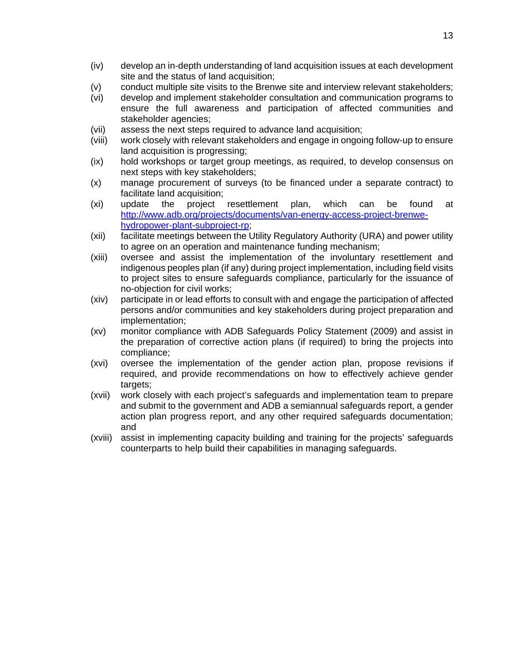- (iv) develop an in-depth understanding of land acquisition issues at each development site and the status of land acquisition;
- (v) conduct multiple site visits to the Brenwe site and interview relevant stakeholders;
- (vi) develop and implement stakeholder consultation and communication programs to ensure the full awareness and participation of affected communities and stakeholder agencies;
- (vii) assess the next steps required to advance land acquisition;
- (viii) work closely with relevant stakeholders and engage in ongoing follow-up to ensure land acquisition is progressing;
- (ix) hold workshops or target group meetings, as required, to develop consensus on next steps with key stakeholders;
- (x) manage procurement of surveys (to be financed under a separate contract) to facilitate land acquisition;
- (xi) update the project resettlement plan, which can be found at http://www.adb.org/projects/documents/van-energy-access-project-brenwehydropower-plant-subproject-rp;
- (xii) facilitate meetings between the Utility Regulatory Authority (URA) and power utility to agree on an operation and maintenance funding mechanism;
- (xiii) oversee and assist the implementation of the involuntary resettlement and indigenous peoples plan (if any) during project implementation, including field visits to project sites to ensure safeguards compliance, particularly for the issuance of no-objection for civil works;
- (xiv) participate in or lead efforts to consult with and engage the participation of affected persons and/or communities and key stakeholders during project preparation and implementation;
- (xv) monitor compliance with ADB Safeguards Policy Statement (2009) and assist in the preparation of corrective action plans (if required) to bring the projects into compliance;
- (xvi) oversee the implementation of the gender action plan, propose revisions if required, and provide recommendations on how to effectively achieve gender targets;
- (xvii) work closely with each project's safeguards and implementation team to prepare and submit to the government and ADB a semiannual safeguards report, a gender action plan progress report, and any other required safeguards documentation; and
- (xviii) assist in implementing capacity building and training for the projects' safeguards counterparts to help build their capabilities in managing safeguards.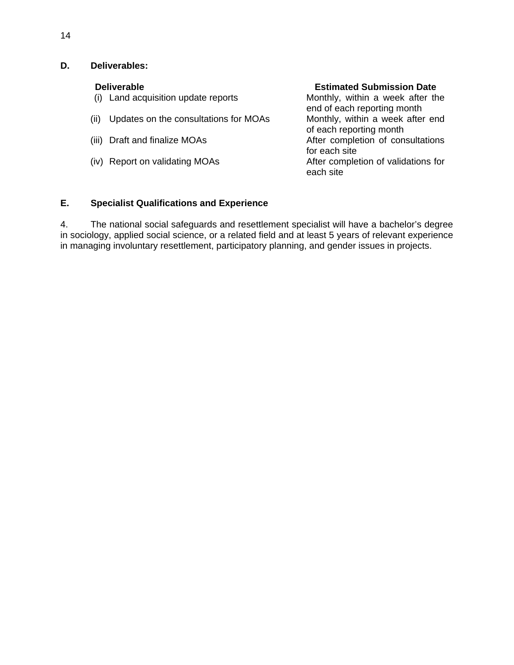- **Deliverable**<br>
(i) Land acquisition update reports<br> **Estimated Submission Date**<br>
Monthly, within a week after the  $(i)$  Land acquisition update reports
- (ii) Updates on the consultations for MOAs Monthly, within a week after end
- 
- 

end of each reporting month of each reporting month (iii) Draft and finalize MOAs After completion of consultations for each site (iv) Report on validating MOAs After completion of validations for each site

# **E. Specialist Qualifications and Experience**

4. The national social safeguards and resettlement specialist will have a bachelor's degree in sociology, applied social science, or a related field and at least 5 years of relevant experience in managing involuntary resettlement, participatory planning, and gender issues in projects.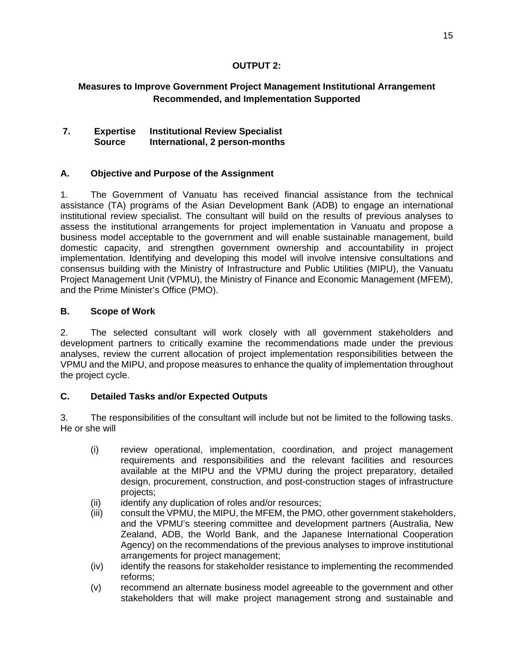# **OUTPUT 2:**

# **Measures to Improve Government Project Management Institutional Arrangement Recommended, and Implementation Supported**

# **7. Expertise Institutional Review Specialist Source International, 2 person-months**

# **A. Objective and Purpose of the Assignment**

1. The Government of Vanuatu has received financial assistance from the technical assistance (TA) programs of the Asian Development Bank (ADB) to engage an international institutional review specialist. The consultant will build on the results of previous analyses to assess the institutional arrangements for project implementation in Vanuatu and propose a business model acceptable to the government and will enable sustainable management, build domestic capacity, and strengthen government ownership and accountability in project implementation. Identifying and developing this model will involve intensive consultations and consensus building with the Ministry of Infrastructure and Public Utilities (MIPU), the Vanuatu Project Management Unit (VPMU), the Ministry of Finance and Economic Management (MFEM), and the Prime Minister's Office (PMO).

### **B. Scope of Work**

2. The selected consultant will work closely with all government stakeholders and development partners to critically examine the recommendations made under the previous analyses, review the current allocation of project implementation responsibilities between the VPMU and the MIPU, and propose measures to enhance the quality of implementation throughout the project cycle.

# **C. Detailed Tasks and/or Expected Outputs**

3. The responsibilities of the consultant will include but not be limited to the following tasks. He or she will

- (i) review operational, implementation, coordination, and project management requirements and responsibilities and the relevant facilities and resources available at the MIPU and the VPMU during the project preparatory, detailed design, procurement, construction, and post-construction stages of infrastructure projects;
- (ii) identify any duplication of roles and/or resources;
- (iii) consult the VPMU, the MIPU, the MFEM, the PMO, other government stakeholders, and the VPMU's steering committee and development partners (Australia, New Zealand, ADB, the World Bank, and the Japanese International Cooperation Agency) on the recommendations of the previous analyses to improve institutional arrangements for project management;
- (iv) identify the reasons for stakeholder resistance to implementing the recommended reforms;
- (v) recommend an alternate business model agreeable to the government and other stakeholders that will make project management strong and sustainable and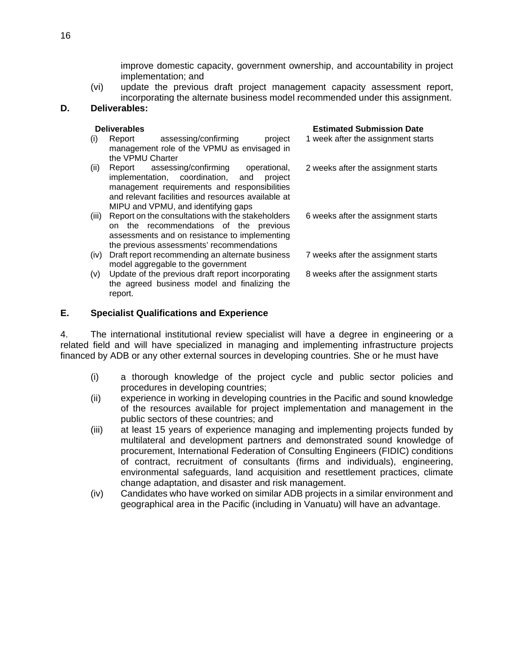improve domestic capacity, government ownership, and accountability in project implementation; and

(vi) update the previous draft project management capacity assessment report, incorporating the alternate business model recommended under this assignment.

### **D. Deliverables:**

|       | <b>Deliverables</b>                                | <b>Estimated Submission Date</b>    |
|-------|----------------------------------------------------|-------------------------------------|
| (i)   | assessing/confirming<br>project<br>Report          | 1 week after the assignment starts  |
|       | management role of the VPMU as envisaged in        |                                     |
|       | the VPMU Charter                                   |                                     |
| (ii)  | Report assessing/confirming operational,           | 2 weeks after the assignment starts |
|       | implementation, coordination, and<br>project       |                                     |
|       | management requirements and responsibilities       |                                     |
|       | and relevant facilities and resources available at |                                     |
|       | MIPU and VPMU, and identifying gaps                |                                     |
| (iii) | Report on the consultations with the stakeholders  | 6 weeks after the assignment starts |
|       | on the recommendations of the previous             |                                     |
|       | assessments and on resistance to implementing      |                                     |
|       | the previous assessments' recommendations          |                                     |
| (iv)  | Draft report recommending an alternate business    | 7 weeks after the assignment starts |
|       | model aggregable to the government                 |                                     |
| (v)   | Update of the previous draft report incorporating  | 8 weeks after the assignment starts |
|       | the agreed business model and finalizing the       |                                     |
|       | report.                                            |                                     |

### **E. Specialist Qualifications and Experience**

4. The international institutional review specialist will have a degree in engineering or a related field and will have specialized in managing and implementing infrastructure projects financed by ADB or any other external sources in developing countries. She or he must have

- (i) a thorough knowledge of the project cycle and public sector policies and procedures in developing countries;
- (ii) experience in working in developing countries in the Pacific and sound knowledge of the resources available for project implementation and management in the public sectors of these countries; and
- (iii) at least 15 years of experience managing and implementing projects funded by multilateral and development partners and demonstrated sound knowledge of procurement, International Federation of Consulting Engineers (FIDIC) conditions of contract, recruitment of consultants (firms and individuals), engineering, environmental safeguards, land acquisition and resettlement practices, climate change adaptation, and disaster and risk management.
- (iv) Candidates who have worked on similar ADB projects in a similar environment and geographical area in the Pacific (including in Vanuatu) will have an advantage.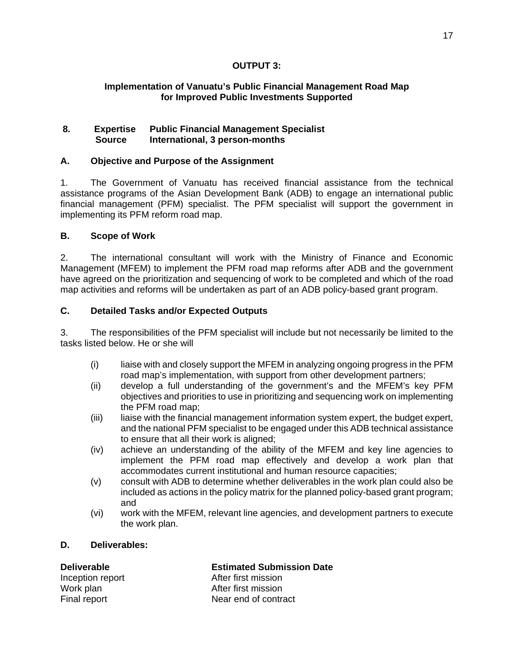# **OUTPUT 3:**

# **Implementation of Vanuatu's Public Financial Management Road Map for Improved Public Investments Supported**

# **8. Expertise Public Financial Management Specialist Source International, 3 person-months**

# **A. Objective and Purpose of the Assignment**

1. The Government of Vanuatu has received financial assistance from the technical assistance programs of the Asian Development Bank (ADB) to engage an international public financial management (PFM) specialist. The PFM specialist will support the government in implementing its PFM reform road map.

# **B. Scope of Work**

2. The international consultant will work with the Ministry of Finance and Economic Management (MFEM) to implement the PFM road map reforms after ADB and the government have agreed on the prioritization and sequencing of work to be completed and which of the road map activities and reforms will be undertaken as part of an ADB policy-based grant program.

# **C. Detailed Tasks and/or Expected Outputs**

3. The responsibilities of the PFM specialist will include but not necessarily be limited to the tasks listed below. He or she will

- (i) liaise with and closely support the MFEM in analyzing ongoing progress in the PFM road map's implementation, with support from other development partners;
- (ii) develop a full understanding of the government's and the MFEM's key PFM objectives and priorities to use in prioritizing and sequencing work on implementing the PFM road map;
- (iii) liaise with the financial management information system expert, the budget expert, and the national PFM specialist to be engaged under this ADB technical assistance to ensure that all their work is aligned;
- (iv) achieve an understanding of the ability of the MFEM and key line agencies to implement the PFM road map effectively and develop a work plan that accommodates current institutional and human resource capacities;
- (v) consult with ADB to determine whether deliverables in the work plan could also be included as actions in the policy matrix for the planned policy-based grant program; and
- (vi) work with the MFEM, relevant line agencies, and development partners to execute the work plan.

# **D. Deliverables:**

**Deliverable Estimated Submission Date**  Inception report **After first mission** Work plan Mork plan After first mission<br>
Final report Mear end of contra Near end of contract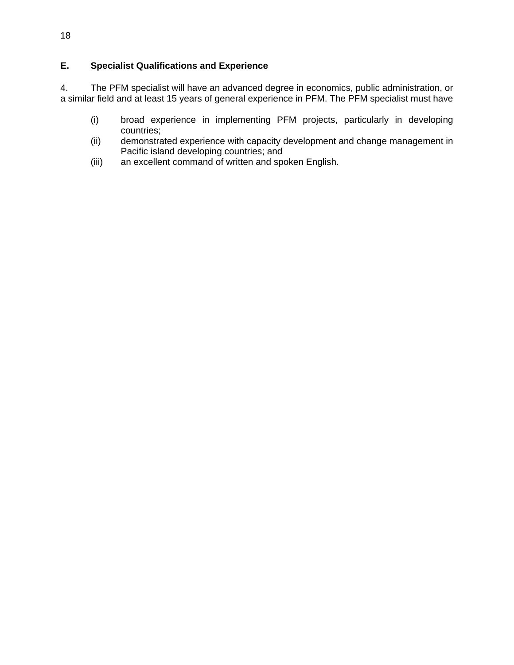# **E. Specialist Qualifications and Experience**

4. The PFM specialist will have an advanced degree in economics, public administration, or a similar field and at least 15 years of general experience in PFM. The PFM specialist must have

- (i) broad experience in implementing PFM projects, particularly in developing countries;
- (ii) demonstrated experience with capacity development and change management in Pacific island developing countries; and
- (iii) an excellent command of written and spoken English.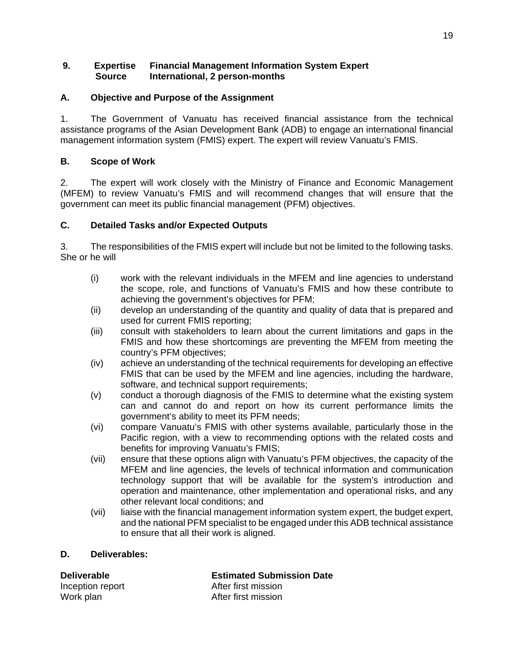# **9. Expertise Financial Management Information System Expert Source International, 2 person-months**

# **A. Objective and Purpose of the Assignment**

1. The Government of Vanuatu has received financial assistance from the technical assistance programs of the Asian Development Bank (ADB) to engage an international financial management information system (FMIS) expert. The expert will review Vanuatu's FMIS.

# **B. Scope of Work**

2. The expert will work closely with the Ministry of Finance and Economic Management (MFEM) to review Vanuatu's FMIS and will recommend changes that will ensure that the government can meet its public financial management (PFM) objectives.

# **C. Detailed Tasks and/or Expected Outputs**

3. The responsibilities of the FMIS expert will include but not be limited to the following tasks. She or he will

- (i) work with the relevant individuals in the MFEM and line agencies to understand the scope, role, and functions of Vanuatu's FMIS and how these contribute to achieving the government's objectives for PFM;
- (ii) develop an understanding of the quantity and quality of data that is prepared and used for current FMIS reporting;
- (iii) consult with stakeholders to learn about the current limitations and gaps in the FMIS and how these shortcomings are preventing the MFEM from meeting the country's PFM objectives;
- (iv) achieve an understanding of the technical requirements for developing an effective FMIS that can be used by the MFEM and line agencies, including the hardware, software, and technical support requirements;
- (v) conduct a thorough diagnosis of the FMIS to determine what the existing system can and cannot do and report on how its current performance limits the government's ability to meet its PFM needs;
- (vi) compare Vanuatu's FMIS with other systems available, particularly those in the Pacific region, with a view to recommending options with the related costs and benefits for improving Vanuatu's FMIS;
- (vii) ensure that these options align with Vanuatu's PFM objectives, the capacity of the MFEM and line agencies, the levels of technical information and communication technology support that will be available for the system's introduction and operation and maintenance, other implementation and operational risks, and any other relevant local conditions; and
- (vii) liaise with the financial management information system expert, the budget expert, and the national PFM specialist to be engaged under this ADB technical assistance to ensure that all their work is aligned.

# **D. Deliverables:**

**Deliverable Estimated Submission Date**  Inception report **After first mission** Work plan More and After first mission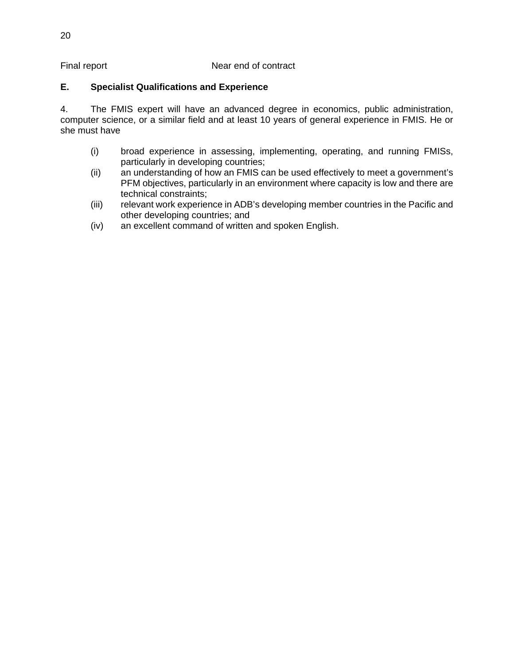# Final report Near end of contract

# **E. Specialist Qualifications and Experience**

4. The FMIS expert will have an advanced degree in economics, public administration, computer science, or a similar field and at least 10 years of general experience in FMIS. He or she must have

- (i) broad experience in assessing, implementing, operating, and running FMISs, particularly in developing countries;
- (ii) an understanding of how an FMIS can be used effectively to meet a government's PFM objectives, particularly in an environment where capacity is low and there are technical constraints;
- (iii) relevant work experience in ADB's developing member countries in the Pacific and other developing countries; and
- (iv) an excellent command of written and spoken English.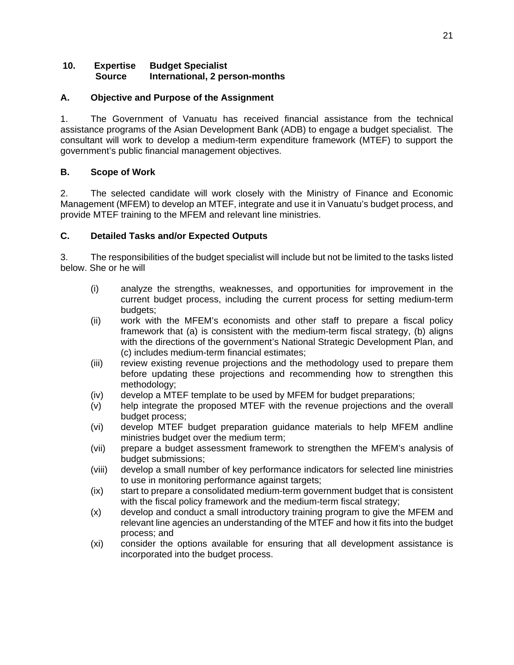### **10. Expertise Budget Specialist Source International, 2 person-months**

# **A. Objective and Purpose of the Assignment**

1. The Government of Vanuatu has received financial assistance from the technical assistance programs of the Asian Development Bank (ADB) to engage a budget specialist. The consultant will work to develop a medium-term expenditure framework (MTEF) to support the government's public financial management objectives.

# **B. Scope of Work**

2. The selected candidate will work closely with the Ministry of Finance and Economic Management (MFEM) to develop an MTEF, integrate and use it in Vanuatu's budget process, and provide MTEF training to the MFEM and relevant line ministries.

# **C. Detailed Tasks and/or Expected Outputs**

3. The responsibilities of the budget specialist will include but not be limited to the tasks listed below. She or he will

- (i) analyze the strengths, weaknesses, and opportunities for improvement in the current budget process, including the current process for setting medium-term budgets;
- (ii) work with the MFEM's economists and other staff to prepare a fiscal policy framework that (a) is consistent with the medium-term fiscal strategy, (b) aligns with the directions of the government's National Strategic Development Plan, and (c) includes medium-term financial estimates;
- (iii) review existing revenue projections and the methodology used to prepare them before updating these projections and recommending how to strengthen this methodology;
- (iv) develop a MTEF template to be used by MFEM for budget preparations;
- (v) help integrate the proposed MTEF with the revenue projections and the overall budget process;
- (vi) develop MTEF budget preparation guidance materials to help MFEM andline ministries budget over the medium term;
- (vii) prepare a budget assessment framework to strengthen the MFEM's analysis of budget submissions;
- (viii) develop a small number of key performance indicators for selected line ministries to use in monitoring performance against targets;
- (ix) start to prepare a consolidated medium-term government budget that is consistent with the fiscal policy framework and the medium-term fiscal strategy;
- (x) develop and conduct a small introductory training program to give the MFEM and relevant line agencies an understanding of the MTEF and how it fits into the budget process; and
- (xi) consider the options available for ensuring that all development assistance is incorporated into the budget process.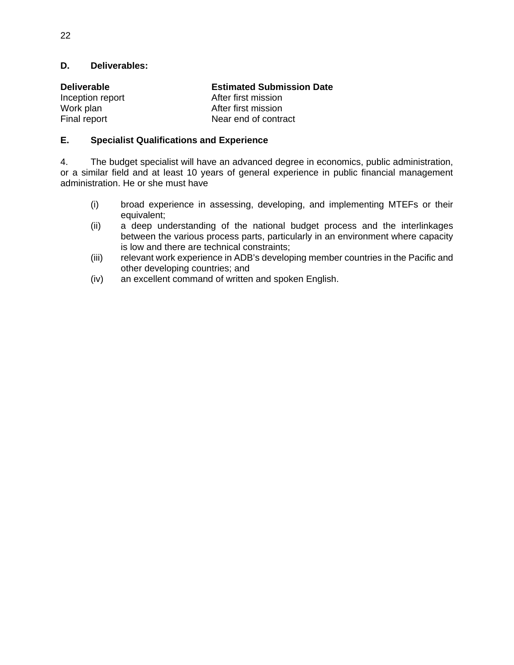| <b>Deliverable</b> | <b>Estimated Submission Date</b> |
|--------------------|----------------------------------|
| Inception report   | After first mission              |
| Work plan          | After first mission              |
| Final report       | Near end of contract             |

# **E. Specialist Qualifications and Experience**

4. The budget specialist will have an advanced degree in economics, public administration, or a similar field and at least 10 years of general experience in public financial management administration. He or she must have

- (i) broad experience in assessing, developing, and implementing MTEFs or their equivalent;
- (ii) a deep understanding of the national budget process and the interlinkages between the various process parts, particularly in an environment where capacity is low and there are technical constraints;
- (iii) relevant work experience in ADB's developing member countries in the Pacific and other developing countries; and
- (iv) an excellent command of written and spoken English.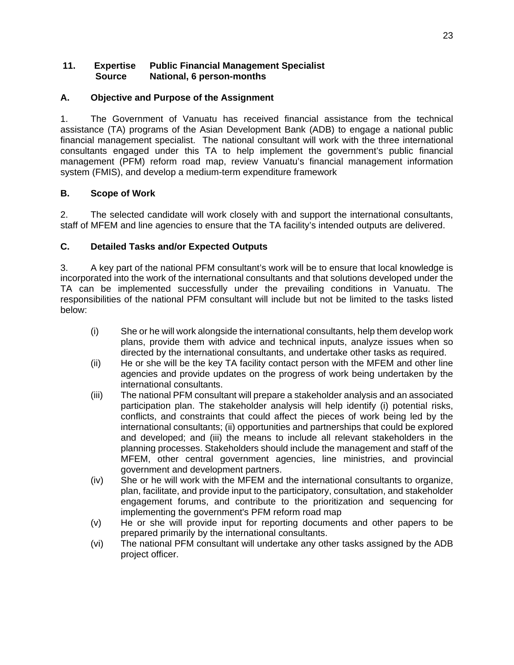# **11. Expertise Public Financial Management Specialist Source National, 6 person-months**

# **A. Objective and Purpose of the Assignment**

1. The Government of Vanuatu has received financial assistance from the technical assistance (TA) programs of the Asian Development Bank (ADB) to engage a national public financial management specialist. The national consultant will work with the three international consultants engaged under this TA to help implement the government's public financial management (PFM) reform road map, review Vanuatu's financial management information system (FMIS), and develop a medium-term expenditure framework

# **B. Scope of Work**

2. The selected candidate will work closely with and support the international consultants, staff of MFEM and line agencies to ensure that the TA facility's intended outputs are delivered.

# **C. Detailed Tasks and/or Expected Outputs**

3. A key part of the national PFM consultant's work will be to ensure that local knowledge is incorporated into the work of the international consultants and that solutions developed under the TA can be implemented successfully under the prevailing conditions in Vanuatu. The responsibilities of the national PFM consultant will include but not be limited to the tasks listed below:

- (i) She or he will work alongside the international consultants, help them develop work plans, provide them with advice and technical inputs, analyze issues when so directed by the international consultants, and undertake other tasks as required.
- (ii) He or she will be the key TA facility contact person with the MFEM and other line agencies and provide updates on the progress of work being undertaken by the international consultants.
- (iii) The national PFM consultant will prepare a stakeholder analysis and an associated participation plan. The stakeholder analysis will help identify (i) potential risks, conflicts, and constraints that could affect the pieces of work being led by the international consultants; (ii) opportunities and partnerships that could be explored and developed; and (iii) the means to include all relevant stakeholders in the planning processes. Stakeholders should include the management and staff of the MFEM, other central government agencies, line ministries, and provincial government and development partners.
- (iv) She or he will work with the MFEM and the international consultants to organize, plan, facilitate, and provide input to the participatory, consultation, and stakeholder engagement forums, and contribute to the prioritization and sequencing for implementing the government's PFM reform road map
- (v) He or she will provide input for reporting documents and other papers to be prepared primarily by the international consultants.
- (vi) The national PFM consultant will undertake any other tasks assigned by the ADB project officer.